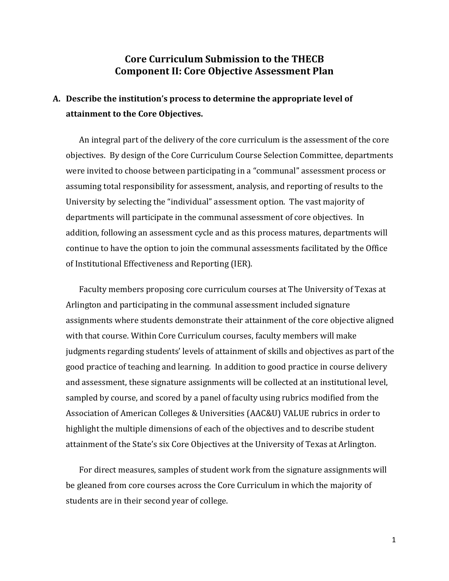### **Core Curriculum Submission to the THECB Component II: Core Objective Assessment Plan**

## **A. Describe the institution's process to determine the appropriate level of attainment to the Core Objectives.**

An integral part of the delivery of the core curriculum is the assessment of the core objectives. By design of the Core Curriculum Course Selection Committee, departments were invited to choose between participating in a "communal" assessment process or assuming total responsibility for assessment, analysis, and reporting of results to the University by selecting the "individual" assessment option. The vast majority of departments will participate in the communal assessment of core objectives. In addition, following an assessment cycle and as this process matures, departments will continue to have the option to join the communal assessments facilitated by the Office of Institutional Effectiveness and Reporting (IER).

Faculty members proposing core curriculum courses at The University of Texas at Arlington and participating in the communal assessment included signature assignments where students demonstrate their attainment of the core objective aligned with that course. Within Core Curriculum courses, faculty members will make judgments regarding students' levels of attainment of skills and objectives as part of the good practice of teaching and learning. In addition to good practice in course delivery and assessment, these signature assignments will be collected at an institutional level, sampled by course, and scored by a panel of faculty using rubrics modified from the Association of American Colleges & Universities (AAC&U) VALUE rubrics in order to highlight the multiple dimensions of each of the objectives and to describe student attainment of the State's six Core Objectives at the University of Texas at Arlington.

For direct measures, samples of student work from the signature assignments will be gleaned from core courses across the Core Curriculum in which the majority of students are in their second year of college.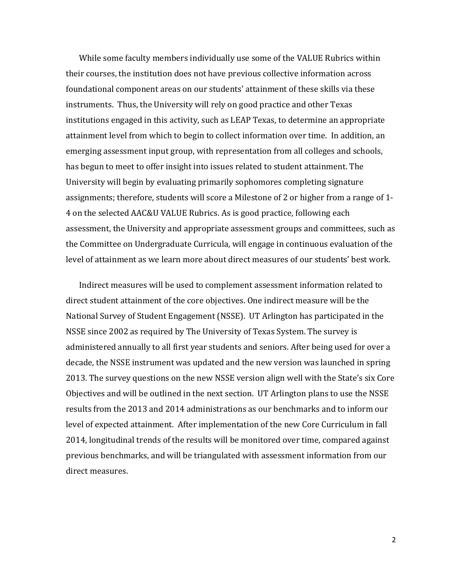While some faculty members individually use some of the VALUE Rubrics within their courses, the institution does not have previous collective information across foundational component areas on our students' attainment of these skills via these instruments. Thus, the University will rely on good practice and other Texas institutions engaged in this activity, such as LEAP Texas, to determine an appropriate attainment level from which to begin to collect information over time. In addition, an emerging assessment input group, with representation from all colleges and schools, has begun to meet to offer insight into issues related to student attainment. The University will begin by evaluating primarily sophomores completing signature assignments; therefore, students will score a Milestone of 2 or higher from a range of 1- 4 on the selected AAC&U VALUE Rubrics. As is good practice, following each assessment, the University and appropriate assessment groups and committees, such as the Committee on Undergraduate Curricula, will engage in continuous evaluation of the level of attainment as we learn more about direct measures of our students' best work.

Indirect measures will be used to complement assessment information related to direct student attainment of the core objectives. One indirect measure will be the National Survey of Student Engagement (NSSE). UT Arlington has participated in the NSSE since 2002 as required by The University of Texas System. The survey is administered annually to all first year students and seniors. After being used for over a decade, the NSSE instrument was updated and the new version was launched in spring 2013. The survey questions on the new NSSE version align well with the State's six Core Objectives and will be outlined in the next section. UT Arlington plans to use the NSSE results from the 2013 and 2014 administrations as our benchmarks and to inform our level of expected attainment. After implementation of the new Core Curriculum in fall 2014, longitudinal trends of the results will be monitored over time, compared against previous benchmarks, and will be triangulated with assessment information from our direct measures.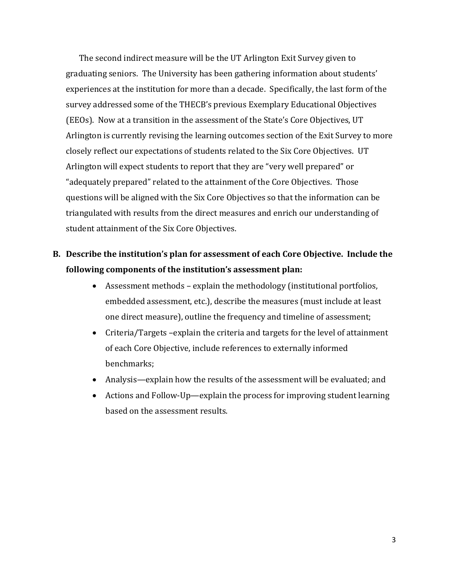The second indirect measure will be the UT Arlington Exit Survey given to graduating seniors. The University has been gathering information about students' experiences at the institution for more than a decade. Specifically, the last form of the survey addressed some of the THECB's previous Exemplary Educational Objectives (EEOs). Now at a transition in the assessment of the State's Core Objectives, UT Arlington is currently revising the learning outcomes section of the Exit Survey to more closely reflect our expectations of students related to the Six Core Objectives. UT Arlington will expect students to report that they are "very well prepared" or "adequately prepared" related to the attainment of the Core Objectives. Those questions will be aligned with the Six Core Objectives so that the information can be triangulated with results from the direct measures and enrich our understanding of student attainment of the Six Core Objectives.

## **B. Describe the institution's plan for assessment of each Core Objective. Include the following components of the institution's assessment plan:**

- Assessment methods explain the methodology (institutional portfolios, embedded assessment, etc.), describe the measures (must include at least one direct measure), outline the frequency and timeline of assessment;
- Criteria/Targets –explain the criteria and targets for the level of attainment of each Core Objective, include references to externally informed benchmarks;
- Analysis—explain how the results of the assessment will be evaluated; and
- Actions and Follow-Up—explain the process for improving student learning based on the assessment results.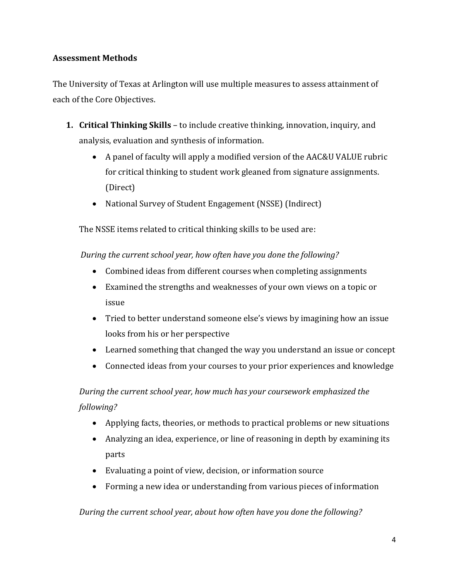### **Assessment Methods**

The University of Texas at Arlington will use multiple measures to assess attainment of each of the Core Objectives.

- **1. Critical Thinking Skills** to include creative thinking, innovation, inquiry, and analysis, evaluation and synthesis of information.
	- A panel of faculty will apply a modified version of the AAC&U VALUE rubric for critical thinking to student work gleaned from signature assignments. (Direct)
	- National Survey of Student Engagement (NSSE) (Indirect)

The NSSE items related to critical thinking skills to be used are:

*During the current school year, how often have you done the following?*

- Combined ideas from different courses when completing assignments
- Examined the strengths and weaknesses of your own views on a topic or issue
- Tried to better understand someone else's views by imagining how an issue looks from his or her perspective
- Learned something that changed the way you understand an issue or concept
- Connected ideas from your courses to your prior experiences and knowledge

*During the current school year, how much has your coursework emphasized the following?* 

- Applying facts, theories, or methods to practical problems or new situations
- Analyzing an idea, experience, or line of reasoning in depth by examining its parts
- Evaluating a point of view, decision, or information source
- Forming a new idea or understanding from various pieces of information

*During the current school year, about how often have you done the following?*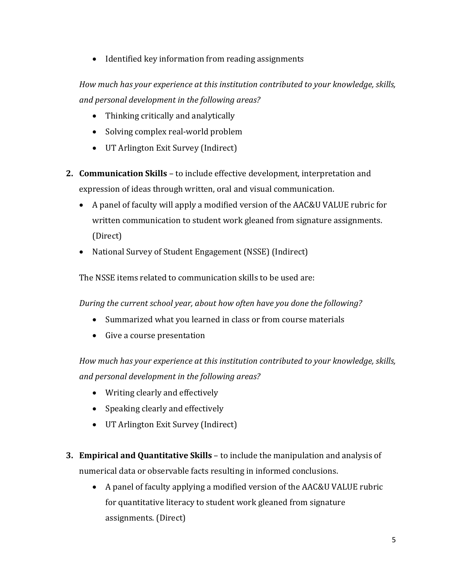• Identified key information from reading assignments

*How much has your experience at this institution contributed to your knowledge, skills, and personal development in the following areas?*

- Thinking critically and analytically
- Solving complex real-world problem
- UT Arlington Exit Survey (Indirect)
- **2. Communication Skills** to include effective development, interpretation and expression of ideas through written, oral and visual communication.
	- A panel of faculty will apply a modified version of the AAC&U VALUE rubric for written communication to student work gleaned from signature assignments. (Direct)
	- National Survey of Student Engagement (NSSE) (Indirect)

The NSSE items related to communication skills to be used are:

*During the current school year, about how often have you done the following?* 

- Summarized what you learned in class or from course materials
- Give a course presentation

*How much has your experience at this institution contributed to your knowledge, skills, and personal development in the following areas?*

- Writing clearly and effectively
- Speaking clearly and effectively
- UT Arlington Exit Survey (Indirect)
- **3. Empirical and Quantitative Skills** to include the manipulation and analysis of numerical data or observable facts resulting in informed conclusions.
	- A panel of faculty applying a modified version of the AAC&U VALUE rubric for quantitative literacy to student work gleaned from signature assignments. (Direct)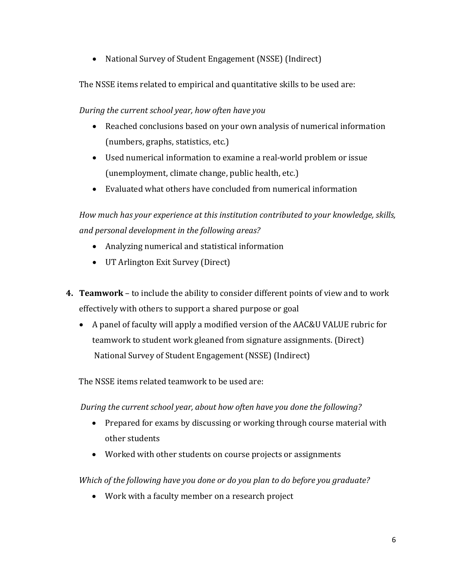• National Survey of Student Engagement (NSSE) (Indirect)

The NSSE items related to empirical and quantitative skills to be used are:

*During the current school year, how often have you* 

- Reached conclusions based on your own analysis of numerical information (numbers, graphs, statistics, etc.)
- Used numerical information to examine a real-world problem or issue (unemployment, climate change, public health, etc.)
- Evaluated what others have concluded from numerical information

*How much has your experience at this institution contributed to your knowledge, skills, and personal development in the following areas?*

- Analyzing numerical and statistical information
- UT Arlington Exit Survey (Direct)
- **4. Teamwork** to include the ability to consider different points of view and to work effectively with others to support a shared purpose or goal
	- A panel of faculty will apply a modified version of the AAC&U VALUE rubric for teamwork to student work gleaned from signature assignments. (Direct) National Survey of Student Engagement (NSSE) (Indirect)

The NSSE items related teamwork to be used are:

*During the current school year, about how often have you done the following?*

- Prepared for exams by discussing or working through course material with other students
- Worked with other students on course projects or assignments

*Which of the following have you done or do you plan to do before you graduate?*

• Work with a faculty member on a research project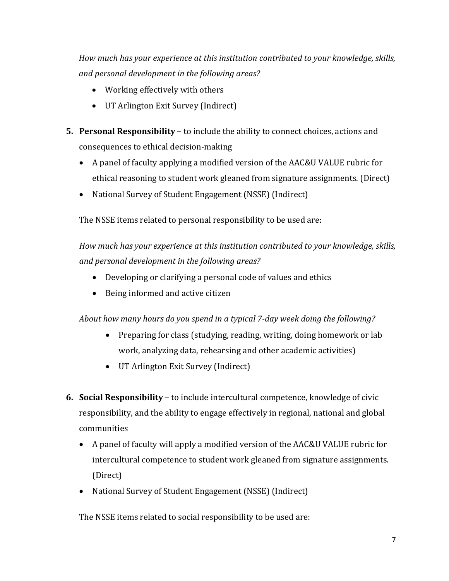*How much has your experience at this institution contributed to your knowledge, skills, and personal development in the following areas?*

- Working effectively with others
- UT Arlington Exit Survey (Indirect)
- **5. Personal Responsibility** to include the ability to connect choices, actions and consequences to ethical decision-making
	- A panel of faculty applying a modified version of the AAC&U VALUE rubric for ethical reasoning to student work gleaned from signature assignments. (Direct)
	- National Survey of Student Engagement (NSSE) (Indirect)

The NSSE items related to personal responsibility to be used are:

*How much has your experience at this institution contributed to your knowledge, skills, and personal development in the following areas?*

- Developing or clarifying a personal code of values and ethics
- Being informed and active citizen

*About how many hours do you spend in a typical 7-day week doing the following?*

- Preparing for class (studying, reading, writing, doing homework or lab work, analyzing data, rehearsing and other academic activities)
- UT Arlington Exit Survey (Indirect)
- **6. Social Responsibility** to include intercultural competence, knowledge of civic responsibility, and the ability to engage effectively in regional, national and global communities
	- A panel of faculty will apply a modified version of the AAC&U VALUE rubric for intercultural competence to student work gleaned from signature assignments. (Direct)
	- National Survey of Student Engagement (NSSE) (Indirect)

The NSSE items related to social responsibility to be used are: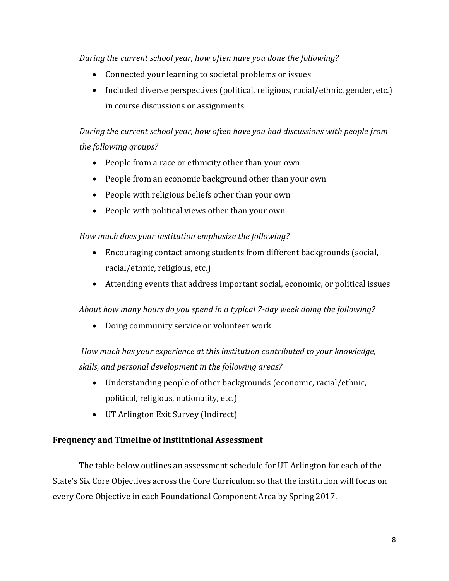*During the current school year, how often have you done the following?*

- Connected your learning to societal problems or issues
- Included diverse perspectives (political, religious, racial/ethnic, gender, etc.) in course discussions or assignments

*During the current school year, how often have you had discussions with people from the following groups?* 

- People from a race or ethnicity other than your own
- People from an economic background other than your own
- People with religious beliefs other than your own
- People with political views other than your own

*How much does your institution emphasize the following?*

- Encouraging contact among students from different backgrounds (social, racial/ethnic, religious, etc.)
- Attending events that address important social, economic, or political issues

*About how many hours do you spend in a typical 7-day week doing the following?*

• Doing community service or volunteer work

*How much has your experience at this institution contributed to your knowledge, skills, and personal development in the following areas?*

- Understanding people of other backgrounds (economic, racial/ethnic, political, religious, nationality, etc.)
- UT Arlington Exit Survey (Indirect)

#### **Frequency and Timeline of Institutional Assessment**

The table below outlines an assessment schedule for UT Arlington for each of the State's Six Core Objectives across the Core Curriculum so that the institution will focus on every Core Objective in each Foundational Component Area by Spring 2017.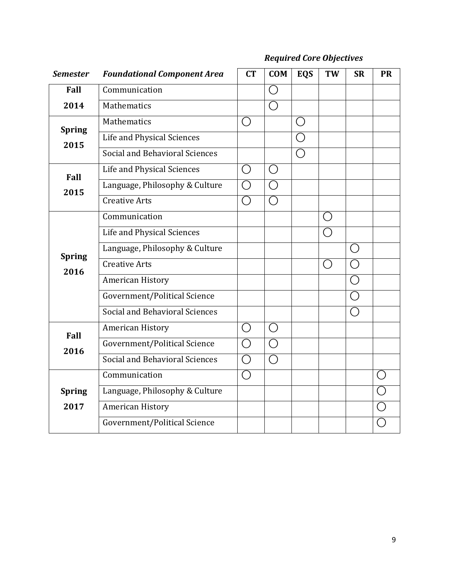# *Required Core Objectives*

| <b>Semester</b>       | <b>Foundational Component Area</b>    | CT               | <b>COM</b>            | <b>EQS</b> | <b>TW</b>                                   | <b>SR</b> | <b>PR</b> |
|-----------------------|---------------------------------------|------------------|-----------------------|------------|---------------------------------------------|-----------|-----------|
| Fall                  | Communication                         |                  | ◯                     |            |                                             |           |           |
| 2014                  | Mathematics                           |                  | $\bigcirc$            |            |                                             |           |           |
| <b>Spring</b><br>2015 | Mathematics                           | ()               |                       | $\bigcirc$ |                                             |           |           |
|                       | Life and Physical Sciences            |                  |                       | ◯          |                                             |           |           |
|                       | Social and Behavioral Sciences        |                  |                       | ◯          |                                             |           |           |
| Fall<br>2015          | Life and Physical Sciences            | $\left( \right)$ | $\bigcirc$            |            |                                             |           |           |
|                       | Language, Philosophy & Culture        | $\bigcirc$       | $\bigcirc$            |            |                                             |           |           |
|                       | <b>Creative Arts</b>                  | $\bigcirc$       | ◯                     |            |                                             |           |           |
| <b>Spring</b><br>2016 | Communication                         |                  |                       |            | $\left(\begin{array}{c} \end{array}\right)$ |           |           |
|                       | Life and Physical Sciences            |                  |                       |            | $\left(\begin{array}{c} \end{array}\right)$ |           |           |
|                       | Language, Philosophy & Culture        |                  |                       |            |                                             | ( )       |           |
|                       | <b>Creative Arts</b>                  |                  |                       |            | $\left(\begin{array}{c} \end{array}\right)$ |           |           |
|                       | <b>American History</b>               |                  |                       |            |                                             |           |           |
|                       | Government/Political Science          |                  |                       |            |                                             | ◯         |           |
|                       | <b>Social and Behavioral Sciences</b> |                  |                       |            |                                             | ◯         |           |
| Fall<br>2016          | American History                      | $\bigcirc$       | ◯                     |            |                                             |           |           |
|                       | Government/Political Science          | $\bigcirc$       | $\bigcirc$            |            |                                             |           |           |
|                       | <b>Social and Behavioral Sciences</b> | $\bigcirc$       | $\overline{\bigcirc}$ |            |                                             |           |           |
| <b>Spring</b><br>2017 | Communication                         | $\bigcirc$       |                       |            |                                             |           |           |
|                       | Language, Philosophy & Culture        |                  |                       |            |                                             |           |           |
|                       | American History                      |                  |                       |            |                                             |           |           |
|                       | Government/Political Science          |                  |                       |            |                                             |           |           |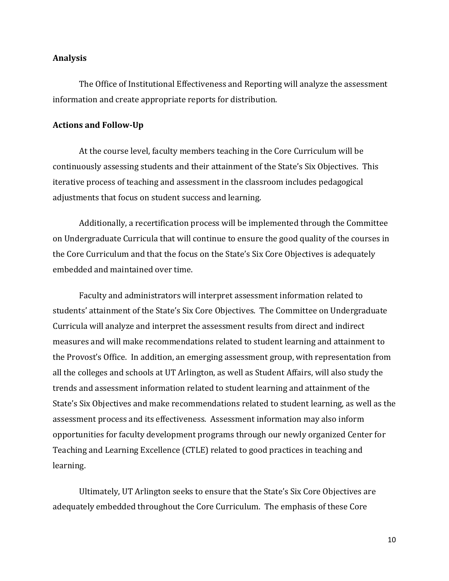#### **Analysis**

The Office of Institutional Effectiveness and Reporting will analyze the assessment information and create appropriate reports for distribution.

#### **Actions and Follow-Up**

At the course level, faculty members teaching in the Core Curriculum will be continuously assessing students and their attainment of the State's Six Objectives. This iterative process of teaching and assessment in the classroom includes pedagogical adjustments that focus on student success and learning.

Additionally, a recertification process will be implemented through the Committee on Undergraduate Curricula that will continue to ensure the good quality of the courses in the Core Curriculum and that the focus on the State's Six Core Objectives is adequately embedded and maintained over time.

Faculty and administrators will interpret assessment information related to students' attainment of the State's Six Core Objectives. The Committee on Undergraduate Curricula will analyze and interpret the assessment results from direct and indirect measures and will make recommendations related to student learning and attainment to the Provost's Office. In addition, an emerging assessment group, with representation from all the colleges and schools at UT Arlington, as well as Student Affairs, will also study the trends and assessment information related to student learning and attainment of the State's Six Objectives and make recommendations related to student learning, as well as the assessment process and its effectiveness. Assessment information may also inform opportunities for faculty development programs through our newly organized Center for Teaching and Learning Excellence (CTLE) related to good practices in teaching and learning.

Ultimately, UT Arlington seeks to ensure that the State's Six Core Objectives are adequately embedded throughout the Core Curriculum. The emphasis of these Core